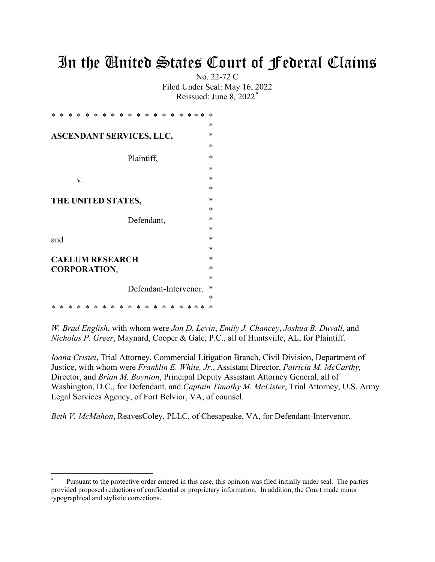# In the United States Court of Federal Claims

No. 22-72 C Filed Under Seal: May 16, 2022 Reissued: June 8, 2022[\\*](#page-0-0)

| ж                               |  |  |                        |  |  |  |  |  |   |            |            |  |                       |  | ж         |
|---------------------------------|--|--|------------------------|--|--|--|--|--|---|------------|------------|--|-----------------------|--|-----------|
|                                 |  |  |                        |  |  |  |  |  |   |            |            |  |                       |  | *         |
| <b>ASCENDANT SERVICES, LLC,</b> |  |  |                        |  |  |  |  |  | * |            |            |  |                       |  |           |
|                                 |  |  |                        |  |  |  |  |  |   |            |            |  |                       |  | *         |
|                                 |  |  |                        |  |  |  |  |  |   | Plaintiff, |            |  |                       |  | ж         |
|                                 |  |  |                        |  |  |  |  |  |   |            |            |  |                       |  | ж         |
|                                 |  |  | V.                     |  |  |  |  |  |   |            |            |  |                       |  | *         |
|                                 |  |  |                        |  |  |  |  |  |   |            |            |  |                       |  | *         |
|                                 |  |  | THE UNITED STATES,     |  |  |  |  |  |   |            |            |  |                       |  | ж         |
|                                 |  |  |                        |  |  |  |  |  |   |            |            |  |                       |  | *         |
|                                 |  |  |                        |  |  |  |  |  |   |            | Defendant, |  |                       |  | ж         |
|                                 |  |  |                        |  |  |  |  |  |   |            |            |  |                       |  | $\ast$    |
| and                             |  |  |                        |  |  |  |  |  |   |            |            |  |                       |  | ж         |
|                                 |  |  |                        |  |  |  |  |  |   |            |            |  |                       |  | *         |
|                                 |  |  | <b>CAELUM RESEARCH</b> |  |  |  |  |  |   |            |            |  |                       |  | ж         |
|                                 |  |  | <b>CORPORATION,</b>    |  |  |  |  |  |   |            |            |  |                       |  | ж         |
|                                 |  |  |                        |  |  |  |  |  |   |            |            |  |                       |  | ж         |
|                                 |  |  |                        |  |  |  |  |  |   |            |            |  | Defendant-Intervenor. |  | $^{\ast}$ |
|                                 |  |  |                        |  |  |  |  |  |   |            |            |  |                       |  | *         |
|                                 |  |  |                        |  |  |  |  |  |   |            |            |  |                       |  | ∗         |

*W. Brad English*, with whom were *Jon D. Levin*, *Emily J. Chancey*, *Joshua B. Duvall*, and *Nicholas P. Greer*, Maynard, Cooper & Gale, P.C., all of Huntsville, AL, for Plaintiff.

*Ioana Cristei*, Trial Attorney, Commercial Litigation Branch, Civil Division, Department of Justice, with whom were *Franklin E. White, Jr.*, Assistant Director, *Patricia M. McCarthy,*  Director, and *Brian M. Boynton*, Principal Deputy Assistant Attorney General, all of Washington, D.C., for Defendant, and *Captain Timothy M. McLister*, Trial Attorney, U.S. Army Legal Services Agency, of Fort Belvior, VA, of counsel.

*Beth V. McMahon*, ReavesColey, PLLC, of Chesapeake, VA, for Defendant-Intervenor.

<span id="page-0-0"></span>Pursuant to the protective order entered in this case, this opinion was filed initially under seal. The parties provided proposed redactions of confidential or proprietary information. In addition, the Court made minor typographical and stylistic corrections.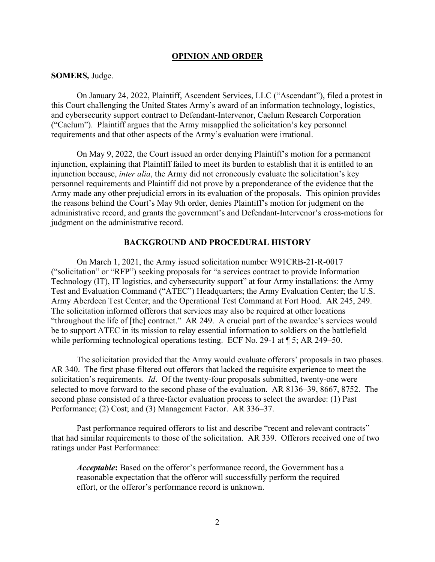#### **OPINION AND ORDER**

#### **SOMERS***,* Judge.

On January 24, 2022, Plaintiff, Ascendent Services, LLC ("Ascendant"), filed a protest in this Court challenging the United States Army's award of an information technology, logistics, and cybersecurity support contract to Defendant-Intervenor, Caelum Research Corporation ("Caelum"). Plaintiff argues that the Army misapplied the solicitation's key personnel requirements and that other aspects of the Army's evaluation were irrational.

On May 9, 2022, the Court issued an order denying Plaintiff's motion for a permanent injunction, explaining that Plaintiff failed to meet its burden to establish that it is entitled to an injunction because, *inter alia*, the Army did not erroneously evaluate the solicitation's key personnel requirements and Plaintiff did not prove by a preponderance of the evidence that the Army made any other prejudicial errors in its evaluation of the proposals. This opinion provides the reasons behind the Court's May 9th order, denies Plaintiff's motion for judgment on the administrative record, and grants the government's and Defendant-Intervenor's cross-motions for judgment on the administrative record.

#### **BACKGROUND AND PROCEDURAL HISTORY**

On March 1, 2021, the Army issued solicitation number W91CRB-21-R-0017 ("solicitation" or "RFP") seeking proposals for "a services contract to provide Information Technology (IT), IT logistics, and cybersecurity support" at four Army installations: the Army Test and Evaluation Command ("ATEC") Headquarters; the Army Evaluation Center; the U.S. Army Aberdeen Test Center; and the Operational Test Command at Fort Hood. AR 245, 249. The solicitation informed offerors that services may also be required at other locations "throughout the life of [the] contract." AR 249. A crucial part of the awardee's services would be to support ATEC in its mission to relay essential information to soldiers on the battlefield while performing technological operations testing. ECF No. 29-1 at  $\P$  5; AR 249–50.

The solicitation provided that the Army would evaluate offerors' proposals in two phases. AR 340. The first phase filtered out offerors that lacked the requisite experience to meet the solicitation's requirements. *Id*. Of the twenty-four proposals submitted, twenty-one were selected to move forward to the second phase of the evaluation. AR 8136–39, 8667, 8752. The second phase consisted of a three-factor evaluation process to select the awardee: (1) Past Performance; (2) Cost; and (3) Management Factor. AR 336–37.

Past performance required offerors to list and describe "recent and relevant contracts" that had similar requirements to those of the solicitation. AR 339. Offerors received one of two ratings under Past Performance:

*Acceptable***:** Based on the offeror's performance record, the Government has a reasonable expectation that the offeror will successfully perform the required effort, or the offeror's performance record is unknown.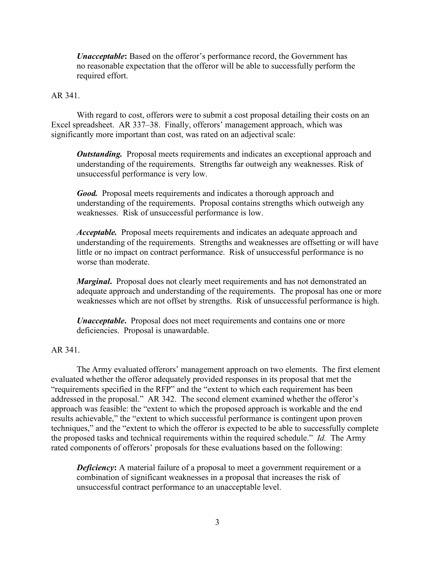*Unacceptable***:** Based on the offeror's performance record, the Government has no reasonable expectation that the offeror will be able to successfully perform the required effort.

## AR 341.

With regard to cost, offerors were to submit a cost proposal detailing their costs on an Excel spreadsheet. AR 337–38. Finally, offerors' management approach, which was significantly more important than cost, was rated on an adjectival scale:

*Outstanding.* Proposal meets requirements and indicates an exceptional approach and understanding of the requirements. Strengths far outweigh any weaknesses. Risk of unsuccessful performance is very low.

*Good.* Proposal meets requirements and indicates a thorough approach and understanding of the requirements. Proposal contains strengths which outweigh any weaknesses. Risk of unsuccessful performance is low.

*Acceptable.* Proposal meets requirements and indicates an adequate approach and understanding of the requirements. Strengths and weaknesses are offsetting or will have little or no impact on contract performance. Risk of unsuccessful performance is no worse than moderate.

*Marginal***.** Proposal does not clearly meet requirements and has not demonstrated an adequate approach and understanding of the requirements. The proposal has one or more weaknesses which are not offset by strengths. Risk of unsuccessful performance is high.

*Unacceptable***.** Proposal does not meet requirements and contains one or more deficiencies. Proposal is unawardable.

#### AR 341.

The Army evaluated offerors' management approach on two elements. The first element evaluated whether the offeror adequately provided responses in its proposal that met the "requirements specified in the RFP" and the "extent to which each requirement has been addressed in the proposal." AR 342. The second element examined whether the offeror's approach was feasible: the "extent to which the proposed approach is workable and the end results achievable," the "extent to which successful performance is contingent upon proven techniques," and the "extent to which the offeror is expected to be able to successfully complete the proposed tasks and technical requirements within the required schedule." *Id.* The Army rated components of offerors' proposals for these evaluations based on the following:

*Deficiency*: A material failure of a proposal to meet a government requirement or a combination of significant weaknesses in a proposal that increases the risk of unsuccessful contract performance to an unacceptable level.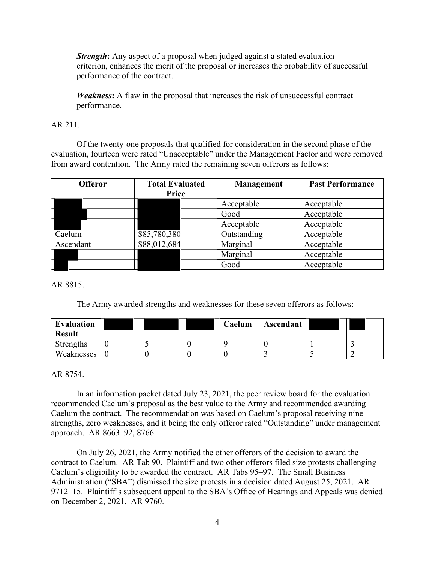*Strength*: Any aspect of a proposal when judged against a stated evaluation criterion, enhances the merit of the proposal or increases the probability of successful performance of the contract.

*Weakness***:** A flaw in the proposal that increases the risk of unsuccessful contract performance.

## AR 211.

Of the twenty-one proposals that qualified for consideration in the second phase of the evaluation, fourteen were rated "Unacceptable" under the Management Factor and were removed from award contention. The Army rated the remaining seven offerors as follows:

| <b>Offeror</b> | <b>Total Evaluated</b> | Management  | <b>Past Performance</b> |  |  |
|----------------|------------------------|-------------|-------------------------|--|--|
|                | <b>Price</b>           |             |                         |  |  |
|                |                        | Acceptable  | Acceptable              |  |  |
|                |                        | Good        | Acceptable              |  |  |
|                |                        | Acceptable  | Acceptable              |  |  |
| Caelum         | \$85,780,380           | Outstanding | Acceptable              |  |  |
| Ascendant      | \$88,012,684           | Marginal    | Acceptable              |  |  |
|                |                        | Marginal    | Acceptable              |  |  |
|                |                        | Good        | Acceptable              |  |  |

AR 8815.

The Army awarded strengths and weaknesses for these seven offerors as follows:

| <b>Evaluation</b><br><b>Result</b> |  | Caelum | Ascendant |  |
|------------------------------------|--|--------|-----------|--|
| Strengths                          |  |        |           |  |
| Weaknesses                         |  |        |           |  |

## AR 8754.

In an information packet dated July 23, 2021, the peer review board for the evaluation recommended Caelum's proposal as the best value to the Army and recommended awarding Caelum the contract. The recommendation was based on Caelum's proposal receiving nine strengths, zero weaknesses, and it being the only offeror rated "Outstanding" under management approach. AR 8663–92, 8766.

 On July 26, 2021, the Army notified the other offerors of the decision to award the contract to Caelum. AR Tab 90. Plaintiff and two other offerors filed size protests challenging Caelum's eligibility to be awarded the contract. AR Tabs 95–97. The Small Business Administration ("SBA") dismissed the size protests in a decision dated August 25, 2021. AR 9712–15. Plaintiff's subsequent appeal to the SBA's Office of Hearings and Appeals was denied on December 2, 2021. AR 9760.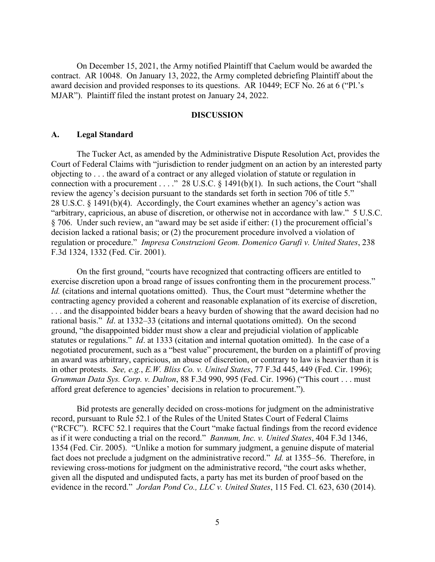On December 15, 2021, the Army notified Plaintiff that Caelum would be awarded the contract. AR 10048. On January 13, 2022, the Army completed debriefing Plaintiff about the award decision and provided responses to its questions. AR 10449; ECF No. 26 at 6 ("Pl.'s MJAR"). Plaintiff filed the instant protest on January 24, 2022.

#### **DISCUSSION**

#### **A. Legal Standard**

The Tucker Act, as amended by the Administrative Dispute Resolution Act, provides the Court of Federal Claims with "jurisdiction to render judgment on an action by an interested party objecting to . . . the award of a contract or any alleged violation of statute or regulation in connection with a procurement . . . ." 28 U.S.C.  $\S$  1491(b)(1). In such actions, the Court "shall review the agency's decision pursuant to the standards set forth in section 706 of title 5." 28 U.S.C. § 1491(b)(4). Accordingly, the Court examines whether an agency's action was "arbitrary, capricious, an abuse of discretion, or otherwise not in accordance with law." 5 U.S.C. § 706. Under such review, an "award may be set aside if either: (1) the procurement official's decision lacked a rational basis; or (2) the procurement procedure involved a violation of regulation or procedure." *Impresa Construzioni Geom. Domenico Garufi v. United States*, 238 F.3d 1324, 1332 (Fed. Cir. 2001).

On the first ground, "courts have recognized that contracting officers are entitled to exercise discretion upon a broad range of issues confronting them in the procurement process." *Id.* (citations and internal quotations omitted). Thus, the Court must "determine whether the contracting agency provided a coherent and reasonable explanation of its exercise of discretion, . . . and the disappointed bidder bears a heavy burden of showing that the award decision had no rational basis." *Id*. at 1332–33 (citations and internal quotations omitted). On the second ground, "the disappointed bidder must show a clear and prejudicial violation of applicable statutes or regulations." *Id*. at 1333 (citation and internal quotation omitted). In the case of a negotiated procurement, such as a "best value" procurement, the burden on a plaintiff of proving an award was arbitrary, capricious, an abuse of discretion, or contrary to law is heavier than it is in other protests. *See, e.g.*, *E.W. Bliss Co. v. United States*, 77 F.3d 445, 449 (Fed. Cir. 1996); *Grumman Data Sys. Corp. v. Dalton*, 88 F.3d 990, 995 (Fed. Cir. 1996) ("This court . . . must afford great deference to agencies' decisions in relation to procurement.").

Bid protests are generally decided on cross-motions for judgment on the administrative record, pursuant to Rule 52.1 of the Rules of the United States Court of Federal Claims ("RCFC"). RCFC 52.1 requires that the Court "make factual findings from the record evidence as if it were conducting a trial on the record." *Bannum, Inc. v. United States*, 404 F.3d 1346, 1354 (Fed. Cir. 2005). "Unlike a motion for summary judgment, a genuine dispute of material fact does not preclude a judgment on the administrative record." *Id.* at 1355–56. Therefore, in reviewing cross-motions for judgment on the administrative record, "the court asks whether, given all the disputed and undisputed facts, a party has met its burden of proof based on the evidence in the record." *Jordan Pond Co., LLC v. United States*, 115 Fed. Cl. 623, 630 (2014).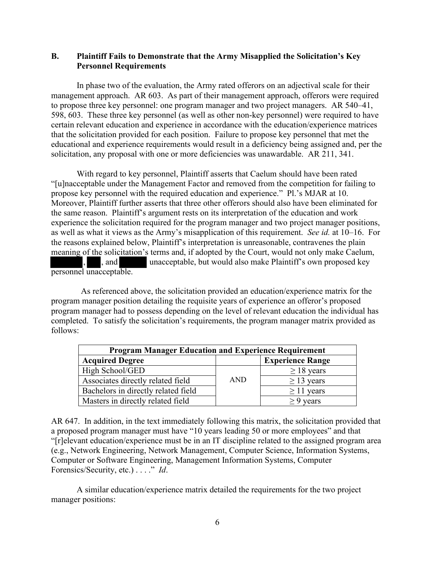## **B. Plaintiff Fails to Demonstrate that the Army Misapplied the Solicitation's Key Personnel Requirements**

In phase two of the evaluation, the Army rated offerors on an adjectival scale for their management approach. AR 603. As part of their management approach, offerors were required to propose three key personnel: one program manager and two project managers. AR 540–41, 598, 603. These three key personnel (as well as other non-key personnel) were required to have certain relevant education and experience in accordance with the education/experience matrices that the solicitation provided for each position. Failure to propose key personnel that met the educational and experience requirements would result in a deficiency being assigned and, per the solicitation, any proposal with one or more deficiencies was unawardable. AR 211, 341.

With regard to key personnel, Plaintiff asserts that Caelum should have been rated "[u]nacceptable under the Management Factor and removed from the competition for failing to propose key personnel with the required education and experience." Pl.'s MJAR at 10. Moreover, Plaintiff further asserts that three other offerors should also have been eliminated for the same reason. Plaintiff's argument rests on its interpretation of the education and work experience the solicitation required for the program manager and two project manager positions, as well as what it views as the Army's misapplication of this requirement. *See id.* at 10–16. For the reasons explained below, Plaintiff's interpretation is unreasonable, contravenes the plain meaning of the solicitation's terms and, if adopted by the Court, would not only make Caelum, , and unacceptable, but would also make Plaintiff's own proposed key personnel unacceptable.

 As referenced above, the solicitation provided an education/experience matrix for the program manager position detailing the requisite years of experience an offeror's proposed program manager had to possess depending on the level of relevant education the individual has completed. To satisfy the solicitation's requirements, the program manager matrix provided as follows:

| <b>Program Manager Education and Experience Requirement</b> |            |                         |  |  |  |  |  |  |
|-------------------------------------------------------------|------------|-------------------------|--|--|--|--|--|--|
| <b>Acquired Degree</b>                                      |            | <b>Experience Range</b> |  |  |  |  |  |  |
| High School/GED                                             |            | $\geq$ 18 years         |  |  |  |  |  |  |
| Associates directly related field                           | <b>AND</b> | $\geq$ 13 years         |  |  |  |  |  |  |
| Bachelors in directly related field                         |            | $\geq$ 11 years         |  |  |  |  |  |  |
| Masters in directly related field                           |            | vears                   |  |  |  |  |  |  |

AR 647. In addition, in the text immediately following this matrix, the solicitation provided that a proposed program manager must have "10 years leading 50 or more employees" and that "[r]elevant education/experience must be in an IT discipline related to the assigned program area (e.g., Network Engineering, Network Management, Computer Science, Information Systems, Computer or Software Engineering, Management Information Systems, Computer Forensics/Security, etc.) . . . ." *Id*.

A similar education/experience matrix detailed the requirements for the two project manager positions: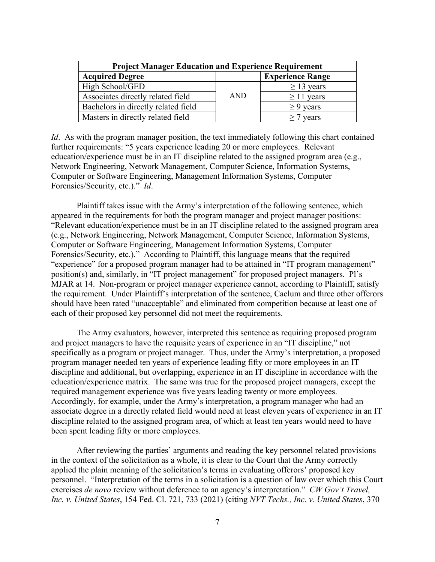| <b>Project Manager Education and Experience Requirement</b> |            |                         |  |  |  |  |  |  |
|-------------------------------------------------------------|------------|-------------------------|--|--|--|--|--|--|
| <b>Acquired Degree</b>                                      |            | <b>Experience Range</b> |  |  |  |  |  |  |
| High School/GED                                             |            | $\geq$ 13 years         |  |  |  |  |  |  |
| Associates directly related field                           | <b>AND</b> | $\geq$ 11 years         |  |  |  |  |  |  |
| Bachelors in directly related field                         |            | $\geq$ 9 years          |  |  |  |  |  |  |
| Masters in directly related field                           |            | years                   |  |  |  |  |  |  |

*Id.* As with the program manager position, the text immediately following this chart contained further requirements: "5 years experience leading 20 or more employees. Relevant education/experience must be in an IT discipline related to the assigned program area (e.g., Network Engineering, Network Management, Computer Science, Information Systems, Computer or Software Engineering, Management Information Systems, Computer Forensics/Security, etc.)." *Id*.

Plaintiff takes issue with the Army's interpretation of the following sentence, which appeared in the requirements for both the program manager and project manager positions: "Relevant education/experience must be in an IT discipline related to the assigned program area (e.g., Network Engineering, Network Management, Computer Science, Information Systems, Computer or Software Engineering, Management Information Systems, Computer Forensics/Security, etc.)." According to Plaintiff, this language means that the required "experience" for a proposed program manager had to be attained in "IT program management" position(s) and, similarly, in "IT project management" for proposed project managers. Pl's MJAR at 14. Non-program or project manager experience cannot, according to Plaintiff, satisfy the requirement. Under Plaintiff's interpretation of the sentence, Caelum and three other offerors should have been rated "unacceptable" and eliminated from competition because at least one of each of their proposed key personnel did not meet the requirements.

The Army evaluators, however, interpreted this sentence as requiring proposed program and project managers to have the requisite years of experience in an "IT discipline," not specifically as a program or project manager. Thus, under the Army's interpretation, a proposed program manager needed ten years of experience leading fifty or more employees in an IT discipline and additional, but overlapping, experience in an IT discipline in accordance with the education/experience matrix. The same was true for the proposed project managers, except the required management experience was five years leading twenty or more employees. Accordingly, for example, under the Army's interpretation, a program manager who had an associate degree in a directly related field would need at least eleven years of experience in an IT discipline related to the assigned program area, of which at least ten years would need to have been spent leading fifty or more employees.

After reviewing the parties' arguments and reading the key personnel related provisions in the context of the solicitation as a whole, it is clear to the Court that the Army correctly applied the plain meaning of the solicitation's terms in evaluating offerors' proposed key personnel. "Interpretation of the terms in a solicitation is a question of law over which this Court exercises *de novo* review without deference to an agency's interpretation." *CW Gov't Travel, Inc. v. United States*, 154 Fed. Cl. 721, 733 (2021) (citing *NVT Techs., Inc. v. United States*, 370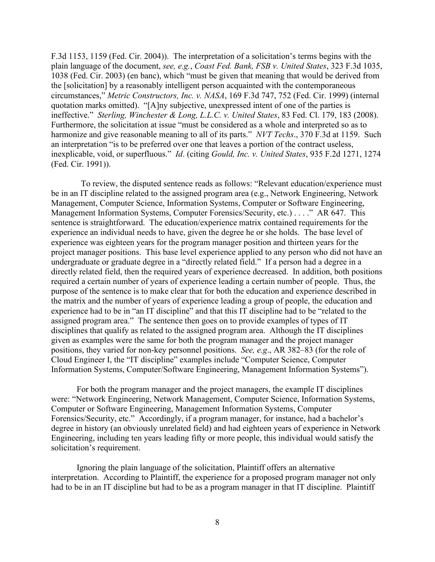F.3d 1153, 1159 (Fed. Cir. 2004)). The interpretation of a solicitation's terms begins with the plain language of the document, *see, e.g.*, *Coast Fed. Bank, FSB v. United States*, 323 F.3d 1035, 1038 (Fed. Cir. 2003) (en banc), which "must be given that meaning that would be derived from the [solicitation] by a reasonably intelligent person acquainted with the contemporaneous circumstances," *Metric Constructors, Inc. v. NASA*, 169 F.3d 747, 752 (Fed. Cir. 1999) (internal quotation marks omitted). "[A]ny subjective, unexpressed intent of one of the parties is ineffective." *Sterling, Winchester & Long, L.L.C. v. United States*, 83 Fed. Cl. 179, 183 (2008). Furthermore, the solicitation at issue "must be considered as a whole and interpreted so as to harmonize and give reasonable meaning to all of its parts." *NVT Techs*., 370 F.3d at 1159. Such an interpretation "is to be preferred over one that leaves a portion of the contract useless, inexplicable, void, or superfluous." *Id*. (citing *Gould, Inc. v. United States*, 935 F.2d 1271, 1274 (Fed. Cir. 1991)).

 To review, the disputed sentence reads as follows: "Relevant education/experience must be in an IT discipline related to the assigned program area (e.g., Network Engineering, Network Management, Computer Science, Information Systems, Computer or Software Engineering, Management Information Systems, Computer Forensics/Security, etc.) . . . ." AR 647. This sentence is straightforward. The education/experience matrix contained requirements for the experience an individual needs to have, given the degree he or she holds. The base level of experience was eighteen years for the program manager position and thirteen years for the project manager positions. This base level experience applied to any person who did not have an undergraduate or graduate degree in a "directly related field." If a person had a degree in a directly related field, then the required years of experience decreased. In addition, both positions required a certain number of years of experience leading a certain number of people. Thus, the purpose of the sentence is to make clear that for both the education and experience described in the matrix and the number of years of experience leading a group of people, the education and experience had to be in "an IT discipline" and that this IT discipline had to be "related to the assigned program area." The sentence then goes on to provide examples of types of IT disciplines that qualify as related to the assigned program area. Although the IT disciplines given as examples were the same for both the program manager and the project manager positions, they varied for non-key personnel positions. *See, e.g*., AR 382–83 (for the role of Cloud Engineer I, the "IT discipline" examples include "Computer Science, Computer Information Systems, Computer/Software Engineering, Management Information Systems").

For both the program manager and the project managers, the example IT disciplines were: "Network Engineering, Network Management, Computer Science, Information Systems, Computer or Software Engineering, Management Information Systems, Computer Forensics/Security, etc." Accordingly, if a program manager, for instance, had a bachelor's degree in history (an obviously unrelated field) and had eighteen years of experience in Network Engineering, including ten years leading fifty or more people, this individual would satisfy the solicitation's requirement.

Ignoring the plain language of the solicitation, Plaintiff offers an alternative interpretation. According to Plaintiff, the experience for a proposed program manager not only had to be in an IT discipline but had to be as a program manager in that IT discipline. Plaintiff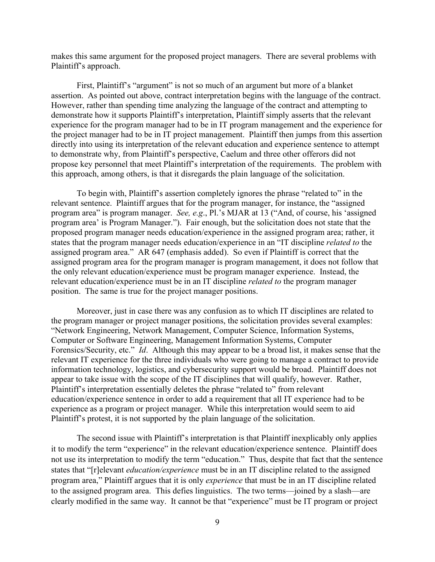makes this same argument for the proposed project managers. There are several problems with Plaintiff's approach.

First, Plaintiff's "argument" is not so much of an argument but more of a blanket assertion. As pointed out above, contract interpretation begins with the language of the contract. However, rather than spending time analyzing the language of the contract and attempting to demonstrate how it supports Plaintiff's interpretation, Plaintiff simply asserts that the relevant experience for the program manager had to be in IT program management and the experience for the project manager had to be in IT project management. Plaintiff then jumps from this assertion directly into using its interpretation of the relevant education and experience sentence to attempt to demonstrate why, from Plaintiff's perspective, Caelum and three other offerors did not propose key personnel that meet Plaintiff's interpretation of the requirements. The problem with this approach, among others, is that it disregards the plain language of the solicitation.

To begin with, Plaintiff's assertion completely ignores the phrase "related to" in the relevant sentence. Plaintiff argues that for the program manager, for instance, the "assigned program area" is program manager. *See, e.g*., Pl.'s MJAR at 13 ("And, of course, his 'assigned program area' is Program Manager."). Fair enough, but the solicitation does not state that the proposed program manager needs education/experience in the assigned program area; rather, it states that the program manager needs education/experience in an "IT discipline *related to* the assigned program area." AR 647 (emphasis added). So even if Plaintiff is correct that the assigned program area for the program manager is program management, it does not follow that the only relevant education/experience must be program manager experience. Instead, the relevant education/experience must be in an IT discipline *related to* the program manager position. The same is true for the project manager positions.

Moreover, just in case there was any confusion as to which IT disciplines are related to the program manager or project manager positions, the solicitation provides several examples: "Network Engineering, Network Management, Computer Science, Information Systems, Computer or Software Engineering, Management Information Systems, Computer Forensics/Security, etc." *Id*. Although this may appear to be a broad list, it makes sense that the relevant IT experience for the three individuals who were going to manage a contract to provide information technology, logistics, and cybersecurity support would be broad. Plaintiff does not appear to take issue with the scope of the IT disciplines that will qualify, however. Rather, Plaintiff's interpretation essentially deletes the phrase "related to" from relevant education/experience sentence in order to add a requirement that all IT experience had to be experience as a program or project manager. While this interpretation would seem to aid Plaintiff's protest, it is not supported by the plain language of the solicitation.

The second issue with Plaintiff's interpretation is that Plaintiff inexplicably only applies it to modify the term "experience" in the relevant education/experience sentence. Plaintiff does not use its interpretation to modify the term "education." Thus, despite that fact that the sentence states that "[r]elevant *education/experience* must be in an IT discipline related to the assigned program area," Plaintiff argues that it is only *experience* that must be in an IT discipline related to the assigned program area. This defies linguistics. The two terms—joined by a slash—are clearly modified in the same way. It cannot be that "experience" must be IT program or project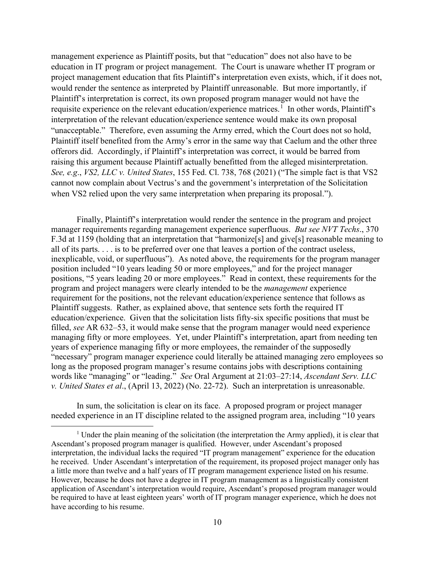management experience as Plaintiff posits, but that "education" does not also have to be education in IT program or project management. The Court is unaware whether IT program or project management education that fits Plaintiff's interpretation even exists, which, if it does not, would render the sentence as interpreted by Plaintiff unreasonable. But more importantly, if Plaintiff's interpretation is correct, its own proposed program manager would not have the requisite experience on the relevant education/experience matrices.<sup>[1](#page-9-0)</sup> In other words, Plaintiff's interpretation of the relevant education/experience sentence would make its own proposal "unacceptable." Therefore, even assuming the Army erred, which the Court does not so hold, Plaintiff itself benefited from the Army's error in the same way that Caelum and the other three offerors did. Accordingly, if Plaintiff's interpretation was correct, it would be barred from raising this argument because Plaintiff actually benefitted from the alleged misinterpretation. *See, e.g*., *VS2, LLC v. United States*, 155 Fed. Cl. 738, 768 (2021) ("The simple fact is that VS2 cannot now complain about Vectrus's and the government's interpretation of the Solicitation when VS2 relied upon the very same interpretation when preparing its proposal.").

Finally, Plaintiff's interpretation would render the sentence in the program and project manager requirements regarding management experience superfluous. *But see NVT Techs*., 370 F.3d at 1159 (holding that an interpretation that "harmonize[s] and give[s] reasonable meaning to all of its parts. . . . is to be preferred over one that leaves a portion of the contract useless, inexplicable, void, or superfluous"). As noted above, the requirements for the program manager position included "10 years leading 50 or more employees," and for the project manager positions, "5 years leading 20 or more employees." Read in context, these requirements for the program and project managers were clearly intended to be the *management* experience requirement for the positions, not the relevant education/experience sentence that follows as Plaintiff suggests. Rather, as explained above, that sentence sets forth the required IT education/experience. Given that the solicitation lists fifty-six specific positions that must be filled, *see* AR 632–53, it would make sense that the program manager would need experience managing fifty or more employees. Yet, under Plaintiff's interpretation, apart from needing ten years of experience managing fifty or more employees, the remainder of the supposedly "necessary" program manager experience could literally be attained managing zero employees so long as the proposed program manager's resume contains jobs with descriptions containing words like "managing" or "leading." *See* Oral Argument at 21:03–27:14, *Ascendant Serv. LLC v. United States et al*., (April 13, 2022) (No. 22-72). Such an interpretation is unreasonable.

In sum, the solicitation is clear on its face. A proposed program or project manager needed experience in an IT discipline related to the assigned program area, including "10 years

<span id="page-9-0"></span><sup>&</sup>lt;sup>1</sup> Under the plain meaning of the solicitation (the interpretation the Army applied), it is clear that Ascendant's proposed program manager is qualified. However, under Ascendant's proposed interpretation, the individual lacks the required "IT program management" experience for the education he received. Under Ascendant's interpretation of the requirement, its proposed project manager only has a little more than twelve and a half years of IT program management experience listed on his resume. However, because he does not have a degree in IT program management as a linguistically consistent application of Ascendant's interpretation would require, Ascendant's proposed program manager would be required to have at least eighteen years' worth of IT program manager experience, which he does not have according to his resume.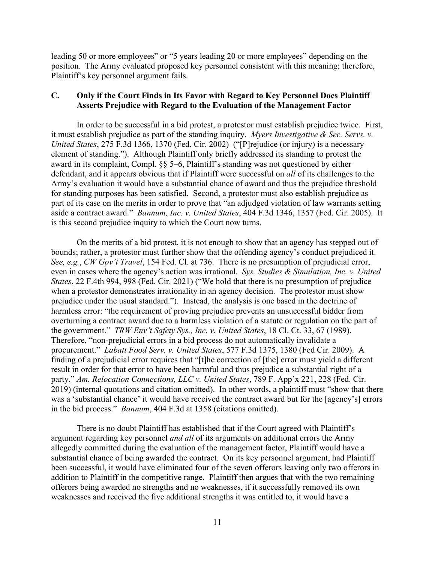leading 50 or more employees" or "5 years leading 20 or more employees" depending on the position. The Army evaluated proposed key personnel consistent with this meaning; therefore, Plaintiff's key personnel argument fails.

## **C. Only if the Court Finds in Its Favor with Regard to Key Personnel Does Plaintiff Asserts Prejudice with Regard to the Evaluation of the Management Factor**

In order to be successful in a bid protest, a protestor must establish prejudice twice. First, it must establish prejudice as part of the standing inquiry. *Myers Investigative & Sec. Servs. v. United States*, 275 F.3d 1366, 1370 (Fed. Cir. 2002) ("[P]rejudice (or injury) is a necessary element of standing."). Although Plaintiff only briefly addressed its standing to protest the award in its complaint, Compl. §§ 5–6, Plaintiff's standing was not questioned by either defendant, and it appears obvious that if Plaintiff were successful on *all* of its challenges to the Army's evaluation it would have a substantial chance of award and thus the prejudice threshold for standing purposes has been satisfied. Second, a protestor must also establish prejudice as part of its case on the merits in order to prove that "an adjudged violation of law warrants setting aside a contract award." *Bannum, Inc. v. United States*, 404 F.3d 1346, 1357 (Fed. Cir. 2005). It is this second prejudice inquiry to which the Court now turns.

On the merits of a bid protest, it is not enough to show that an agency has stepped out of bounds; rather, a protestor must further show that the offending agency's conduct prejudiced it. *See, e.g.*, *CW Gov't Travel*, 154 Fed. Cl. at 736. There is no presumption of prejudicial error, even in cases where the agency's action was irrational. *Sys. Studies & Simulation, Inc. v. United States*, 22 F.4th 994, 998 (Fed. Cir. 2021) ("We hold that there is no presumption of prejudice when a protestor demonstrates irrationality in an agency decision. The protestor must show prejudice under the usual standard."). Instead, the analysis is one based in the doctrine of harmless error: "the requirement of proving prejudice prevents an unsuccessful bidder from overturning a contract award due to a harmless violation of a statute or regulation on the part of the government." *TRW Env't Safety Sys., Inc. v. United States*, 18 Cl. Ct. 33, 67 (1989). Therefore, "non-prejudicial errors in a bid process do not automatically invalidate a procurement." *Labatt Food Serv. v. United States*, 577 F.3d 1375, 1380 (Fed Cir. 2009). A finding of a prejudicial error requires that "[t]he correction of [the] error must yield a different result in order for that error to have been harmful and thus prejudice a substantial right of a party." *Am. Relocation Connections, LLC v. United States*, 789 F. App'x 221, 228 (Fed. Cir. 2019) (internal quotations and citation omitted). In other words, a plaintiff must "show that there was a 'substantial chance' it would have received the contract award but for the [agency's] errors in the bid process." *Bannum*, 404 F.3d at 1358 (citations omitted).

There is no doubt Plaintiff has established that if the Court agreed with Plaintiff's argument regarding key personnel *and all* of its arguments on additional errors the Army allegedly committed during the evaluation of the management factor, Plaintiff would have a substantial chance of being awarded the contract. On its key personnel argument, had Plaintiff been successful, it would have eliminated four of the seven offerors leaving only two offerors in addition to Plaintiff in the competitive range. Plaintiff then argues that with the two remaining offerors being awarded no strengths and no weaknesses, if it successfully removed its own weaknesses and received the five additional strengths it was entitled to, it would have a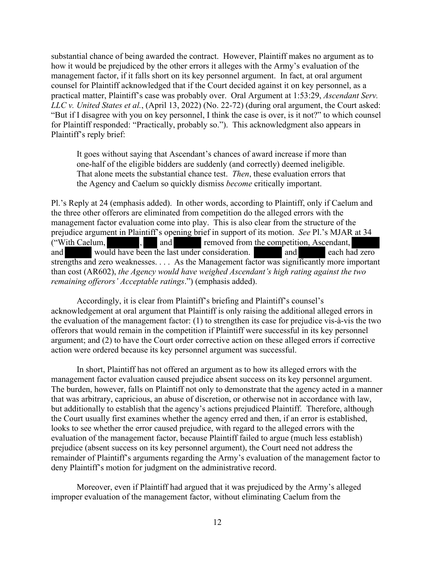substantial chance of being awarded the contract. However, Plaintiff makes no argument as to how it would be prejudiced by the other errors it alleges with the Army's evaluation of the management factor, if it falls short on its key personnel argument. In fact, at oral argument counsel for Plaintiff acknowledged that if the Court decided against it on key personnel, as a practical matter, Plaintiff's case was probably over. Oral Argument at 1:53:29, *Ascendant Serv. LLC v. United States et al.*, (April 13, 2022) (No. 22-72) (during oral argument, the Court asked: "But if I disagree with you on key personnel, I think the case is over, is it not?" to which counsel for Plaintiff responded: "Practically, probably so."). This acknowledgment also appears in Plaintiff's reply brief:

It goes without saying that Ascendant's chances of award increase if more than one-half of the eligible bidders are suddenly (and correctly) deemed ineligible. That alone meets the substantial chance test. *Then*, these evaluation errors that the Agency and Caelum so quickly dismiss *become* critically important.

Pl.'s Reply at 24 (emphasis added). In other words, according to Plaintiff, only if Caelum and the three other offerors are eliminated from competition do the alleged errors with the management factor evaluation come into play. This is also clear from the structure of the prejudice argument in Plaintiff's opening brief in support of its motion. *See* Pl.'s MJAR at 34 ("With Caelum, , and removed from the competition, Ascendant, and would have been the last under consideration. and each had zero strengths and zero weaknesses. . . . As the Management factor was significantly more important than cost (AR602), *the Agency would have weighed Ascendant's high rating against the two remaining offerors' Acceptable ratings*.") (emphasis added).

Accordingly, it is clear from Plaintiff's briefing and Plaintiff's counsel's acknowledgement at oral argument that Plaintiff is only raising the additional alleged errors in the evaluation of the management factor: (1) to strengthen its case for prejudice vis-à-vis the two offerors that would remain in the competition if Plaintiff were successful in its key personnel argument; and (2) to have the Court order corrective action on these alleged errors if corrective action were ordered because its key personnel argument was successful.

In short, Plaintiff has not offered an argument as to how its alleged errors with the management factor evaluation caused prejudice absent success on its key personnel argument. The burden, however, falls on Plaintiff not only to demonstrate that the agency acted in a manner that was arbitrary, capricious, an abuse of discretion, or otherwise not in accordance with law, but additionally to establish that the agency's actions prejudiced Plaintiff. Therefore, although the Court usually first examines whether the agency erred and then, if an error is established, looks to see whether the error caused prejudice, with regard to the alleged errors with the evaluation of the management factor, because Plaintiff failed to argue (much less establish) prejudice (absent success on its key personnel argument), the Court need not address the remainder of Plaintiff's arguments regarding the Army's evaluation of the management factor to deny Plaintiff's motion for judgment on the administrative record.

 Moreover, even if Plaintiff had argued that it was prejudiced by the Army's alleged improper evaluation of the management factor, without eliminating Caelum from the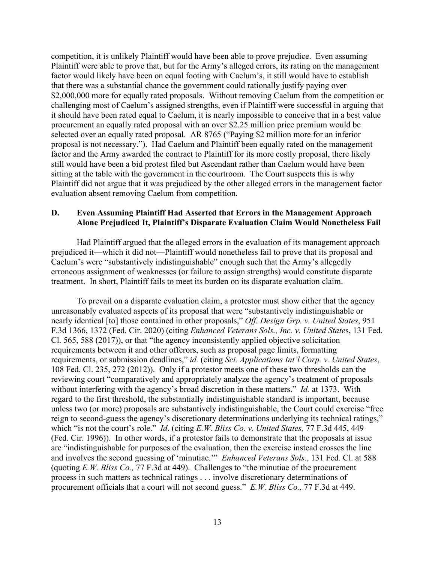competition, it is unlikely Plaintiff would have been able to prove prejudice. Even assuming Plaintiff were able to prove that, but for the Army's alleged errors, its rating on the management factor would likely have been on equal footing with Caelum's, it still would have to establish that there was a substantial chance the government could rationally justify paying over \$2,000,000 more for equally rated proposals. Without removing Caelum from the competition or challenging most of Caelum's assigned strengths, even if Plaintiff were successful in arguing that it should have been rated equal to Caelum, it is nearly impossible to conceive that in a best value procurement an equally rated proposal with an over \$2.25 million price premium would be selected over an equally rated proposal. AR 8765 ("Paying \$2 million more for an inferior proposal is not necessary."). Had Caelum and Plaintiff been equally rated on the management factor and the Army awarded the contract to Plaintiff for its more costly proposal, there likely still would have been a bid protest filed but Ascendant rather than Caelum would have been sitting at the table with the government in the courtroom. The Court suspects this is why Plaintiff did not argue that it was prejudiced by the other alleged errors in the management factor evaluation absent removing Caelum from competition.

## **D. Even Assuming Plaintiff Had Asserted that Errors in the Management Approach Alone Prejudiced It, Plaintiff's Disparate Evaluation Claim Would Nonetheless Fail**

Had Plaintiff argued that the alleged errors in the evaluation of its management approach prejudiced it—which it did not—Plaintiff would nonetheless fail to prove that its proposal and Caelum's were "substantively indistinguishable" enough such that the Army's allegedly erroneous assignment of weaknesses (or failure to assign strengths) would constitute disparate treatment. In short, Plaintiff fails to meet its burden on its disparate evaluation claim.

To prevail on a disparate evaluation claim, a protestor must show either that the agency unreasonably evaluated aspects of its proposal that were "substantively indistinguishable or nearly identical [to] those contained in other proposals," *Off. Design Grp. v. United States*, 951 F.3d 1366, 1372 (Fed. Cir. 2020) (citing *Enhanced Veterans Sols., Inc. v. United State*s, 131 Fed. Cl. 565, 588 (2017)), or that "the agency inconsistently applied objective solicitation requirements between it and other offerors, such as proposal page limits, formatting requirements, or submission deadlines," *id.* (citing *Sci. Applications Int'l Corp. v. United States*, 108 Fed. Cl. 235, 272 (2012)). Only if a protestor meets one of these two thresholds can the reviewing court "comparatively and appropriately analyze the agency's treatment of proposals without interfering with the agency's broad discretion in these matters." *Id.* at 1373. With regard to the first threshold, the substantially indistinguishable standard is important, because unless two (or more) proposals are substantively indistinguishable, the Court could exercise "free reign to second-guess the agency's discretionary determinations underlying its technical ratings," which "is not the court's role." *Id*. (citing *E.W. Bliss Co. v. United States,* 77 F.3d 445, 449 (Fed. Cir. 1996)). In other words, if a protestor fails to demonstrate that the proposals at issue are "indistinguishable for purposes of the evaluation, then the exercise instead crosses the line and involves the second guessing of 'minutiae.'" *Enhanced Veterans Sols.*, 131 Fed. Cl. at 588 (quoting *E.W. Bliss Co.,* 77 F.3d at 449). Challenges to "the minutiae of the procurement process in such matters as technical ratings . . . involve discretionary determinations of procurement officials that a court will not second guess." *E.W. Bliss Co.,* 77 F.3d at 449.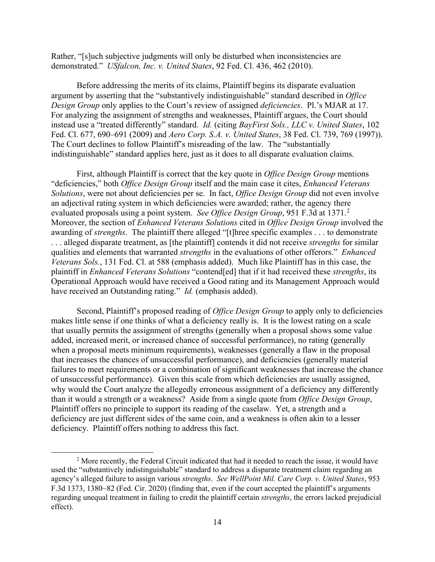Rather, "[s]uch subjective judgments will only be disturbed when inconsistencies are demonstrated." *USfalcon, Inc. v. United States*, 92 Fed. Cl. 436, 462 (2010).

Before addressing the merits of its claims, Plaintiff begins its disparate evaluation argument by asserting that the "substantively indistinguishable" standard described in *Office Design Group* only applies to the Court's review of assigned *deficiencies*. Pl.'s MJAR at 17. For analyzing the assignment of strengths and weaknesses, Plaintiff argues, the Court should instead use a "treated differently" standard. *Id.* (citing *BayFirst Sols., LLC v. United States*, 102 Fed. Cl. 677, 690–691 (2009) and *Aero Corp. S.A. v. United States*, 38 Fed. Cl. 739, 769 (1997)). The Court declines to follow Plaintiff's misreading of the law. The "substantially indistinguishable" standard applies here, just as it does to all disparate evaluation claims.

First, although Plaintiff is correct that the key quote in *Office Design Group* mentions "deficiencies," both *Office Design Group* itself and the main case it cites, *Enhanced Veterans Solutions*, were not about deficiencies per se. In fact, *Office Design Group* did not even involve an adjectival rating system in which deficiencies were awarded; rather, the agency there evaluated proposals using a point system. *See Office Design Group*, 951 F.3d at 1371.<sup>[2](#page-13-0)</sup> Moreover, the section of *Enhanced Veterans Solutions* cited in *Office Design Group* involved the awarding of *strengths*. The plaintiff there alleged "[t]hree specific examples . . . to demonstrate . . . alleged disparate treatment, as [the plaintiff] contends it did not receive *strengths* for similar qualities and elements that warranted *strengths* in the evaluations of other offerors." *Enhanced Veterans Sols.*, 131 Fed. Cl. at 588 (emphasis added). Much like Plaintiff has in this case, the plaintiff in *Enhanced Veterans Solutions* "contend[ed] that if it had received these *strengths*, its Operational Approach would have received a Good rating and its Management Approach would have received an Outstanding rating." *Id.* (emphasis added).

Second, Plaintiff's proposed reading of *Office Design Group* to apply only to deficiencies makes little sense if one thinks of what a deficiency really is. It is the lowest rating on a scale that usually permits the assignment of strengths (generally when a proposal shows some value added, increased merit, or increased chance of successful performance), no rating (generally when a proposal meets minimum requirements), weaknesses (generally a flaw in the proposal that increases the chances of unsuccessful performance), and deficiencies (generally material failures to meet requirements or a combination of significant weaknesses that increase the chance of unsuccessful performance). Given this scale from which deficiencies are usually assigned, why would the Court analyze the allegedly erroneous assignment of a deficiency any differently than it would a strength or a weakness? Aside from a single quote from *Office Design Group*, Plaintiff offers no principle to support its reading of the caselaw. Yet, a strength and a deficiency are just different sides of the same coin, and a weakness is often akin to a lesser deficiency. Plaintiff offers nothing to address this fact.

<span id="page-13-0"></span><sup>&</sup>lt;sup>2</sup> More recently, the Federal Circuit indicated that had it needed to reach the issue, it would have used the "substantively indistinguishable" standard to address a disparate treatment claim regarding an agency's alleged failure to assign various *strengths*. *See WellPoint Mil. Care Corp. v. United States*, 953 F.3d 1373, 1380–82 (Fed. Cir. 2020) (finding that, even if the court accepted the plaintiff's arguments regarding unequal treatment in failing to credit the plaintiff certain *strengths*, the errors lacked prejudicial effect).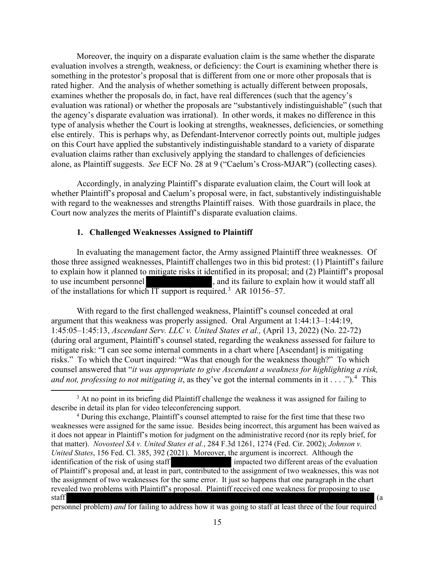Moreover, the inquiry on a disparate evaluation claim is the same whether the disparate evaluation involves a strength, weakness, or deficiency: the Court is examining whether there is something in the protestor's proposal that is different from one or more other proposals that is rated higher. And the analysis of whether something is actually different between proposals, examines whether the proposals do, in fact, have real differences (such that the agency's evaluation was rational) or whether the proposals are "substantively indistinguishable" (such that the agency's disparate evaluation was irrational). In other words, it makes no difference in this type of analysis whether the Court is looking at strengths, weaknesses, deficiencies, or something else entirely. This is perhaps why, as Defendant-Intervenor correctly points out, multiple judges on this Court have applied the substantively indistinguishable standard to a variety of disparate evaluation claims rather than exclusively applying the standard to challenges of deficiencies alone, as Plaintiff suggests. *See* ECF No. 28 at 9 ("Caelum's Cross-MJAR") (collecting cases).

Accordingly, in analyzing Plaintiff's disparate evaluation claim, the Court will look at whether Plaintiff's proposal and Caelum's proposal were, in fact, substantively indistinguishable with regard to the weaknesses and strengths Plaintiff raises. With those guardrails in place, the Court now analyzes the merits of Plaintiff's disparate evaluation claims.

#### **1. Challenged Weaknesses Assigned to Plaintiff**

In evaluating the management factor, the Army assigned Plaintiff three weaknesses. Of those three assigned weaknesses, Plaintiff challenges two in this bid protest: (1) Plaintiff's failure to explain how it planned to mitigate risks it identified in its proposal; and (2) Plaintiff's proposal to use incumbent personnel , and its failure to explain how it would staff all of the installations for which IT support is required.<sup>[3](#page-14-0)</sup> AR 10156–57.

With regard to the first challenged weakness, Plaintiff's counsel conceded at oral argument that this weakness was properly assigned. Oral Argument at 1:44:13–1:44:19, 1:45:05–1:45:13, *Ascendant Serv. LLC v. United States et al.,* (April 13, 2022) (No. 22-72) (during oral argument, Plaintiff's counsel stated, regarding the weakness assessed for failure to mitigate risk: "I can see some internal comments in a chart where [Ascendant] is mitigating risks." To which the Court inquired: "Was that enough for the weakness though?" To which counsel answered that "*it was appropriate to give Ascendant a weakness for highlighting a risk, and not, professing to not mitigating it*, as they've got the internal comments in it . . . .").[4](#page-14-1) This

<span id="page-14-0"></span><sup>&</sup>lt;sup>3</sup> At no point in its briefing did Plaintiff challenge the weakness it was assigned for failing to describe in detail its plan for video teleconferencing support.

<span id="page-14-1"></span><sup>&</sup>lt;sup>4</sup> During this exchange, Plaintiff's counsel attempted to raise for the first time that these two weaknesses were assigned for the same issue. Besides being incorrect, this argument has been waived as it does not appear in Plaintiff's motion for judgment on the administrative record (nor its reply brief, for that matter). *Novosteel SA v. United States et al.*, 284 F.3d 1261, 1274 (Fed. Cir. 2002); *Johnson v. United States*, 156 Fed. Cl. 385, 392 (2021). Moreover, the argument is incorrect. Although the identification of the risk of using staff in the impacted two different areas of the evaluation of Plaintiff's proposal and, at least in part, contributed to the assignment of two weaknesses, this was not the assignment of two weaknesses for the same error. It just so happens that one paragraph in the chart revealed two problems with Plaintiff's proposal. Plaintiff received one weakness for proposing to use staff (a

personnel problem) *and* for failing to address how it was going to staff at least three of the four required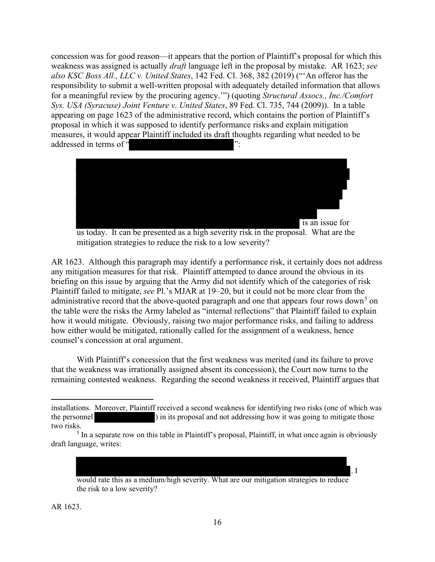concession was for good reason—it appears that the portion of Plaintiff's proposal for which this weakness was assigned is actually *draft* language left in the proposal by mistake. AR 1623; *see also KSC Boss All., LLC v. United States*, 142 Fed. Cl. 368, 382 (2019) ("'An offeror has the responsibility to submit a well-written proposal with adequately detailed information that allows for a meaningful review by the procuring agency.'") (quoting *Structural Assocs., Inc./Comfort Sys. USA (Syracuse) Joint Venture v. United States*, 89 Fed. Cl. 735, 744 (2009)). In a table appearing on page 1623 of the administrative record, which contains the portion of Plaintiff's proposal in which it was supposed to identify performance risks and explain mitigation measures, it would appear Plaintiff included its draft thoughts regarding what needed to be addressed in terms of "



us today. It can be presented as a high severity risk in the proposal. What are the mitigation strategies to reduce the risk to a low severity?

AR 1623. Although this paragraph may identify a performance risk, it certainly does not address any mitigation measures for that risk. Plaintiff attempted to dance around the obvious in its briefing on this issue by arguing that the Army did not identify which of the categories of risk Plaintiff failed to mitigate, *see* Pl.'s MJAR at 19–20, but it could not be more clear from the administrative record that the above-quoted paragraph and one that appears four rows down<sup>[5](#page-15-0)</sup> on the table were the risks the Army labeled as "internal reflections" that Plaintiff failed to explain how it would mitigate. Obviously, raising two major performance risks, and failing to address how either would be mitigated, rationally called for the assignment of a weakness, hence counsel's concession at oral argument.

With Plaintiff's concession that the first weakness was merited (and its failure to prove that the weakness was irrationally assigned absent its concession), the Court now turns to the remaining contested weakness. Regarding the second weakness it received, Plaintiff argues that

would rate this as a medium/high severity. What are our mitigation strategies to reduce the risk to a low severity?

. I

installations. Moreover, Plaintiff received a second weakness for identifying two risks (one of which was the personnel ) in its proposal and not addressing how it was going to mitigate those two risks.

<span id="page-15-0"></span><sup>&</sup>lt;sup>5</sup> In a separate row on this table in Plaintiff's proposal, Plaintiff, in what once again is obviously draft language, writes: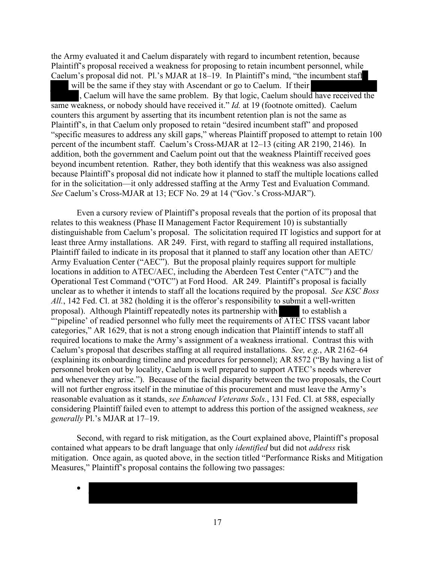the Army evaluated it and Caelum disparately with regard to incumbent retention, because Plaintiff's proposal received a weakness for proposing to retain incumbent personnel, while Caelum's proposal did not. Pl.'s MJAR at 18–19. In Plaintiff's mind, "the incumbent staff will be the same if they stay with Ascendant or go to Caelum. If their , Caelum will have the same problem. By that logic, Caelum should have received the same weakness, or nobody should have received it." *Id.* at 19 (footnote omitted). Caelum counters this argument by asserting that its incumbent retention plan is not the same as Plaintiff's, in that Caelum only proposed to retain "desired incumbent staff" and proposed "specific measures to address any skill gaps," whereas Plaintiff proposed to attempt to retain 100 percent of the incumbent staff. Caelum's Cross-MJAR at 12–13 (citing AR 2190, 2146). In addition, both the government and Caelum point out that the weakness Plaintiff received goes beyond incumbent retention. Rather, they both identify that this weakness was also assigned because Plaintiff's proposal did not indicate how it planned to staff the multiple locations called for in the solicitation—it only addressed staffing at the Army Test and Evaluation Command. *See* Caelum's Cross-MJAR at 13; ECF No. 29 at 14 ("Gov.'s Cross-MJAR").

Even a cursory review of Plaintiff's proposal reveals that the portion of its proposal that relates to this weakness (Phase II Management Factor Requirement 10) is substantially distinguishable from Caelum's proposal. The solicitation required IT logistics and support for at least three Army installations. AR 249. First, with regard to staffing all required installations, Plaintiff failed to indicate in its proposal that it planned to staff any location other than AETC/ Army Evaluation Center ("AEC"). But the proposal plainly requires support for multiple locations in addition to ATEC/AEC, including the Aberdeen Test Center ("ATC") and the Operational Test Command ("OTC") at Ford Hood. AR 249. Plaintiff's proposal is facially unclear as to whether it intends to staff all the locations required by the proposal. *See KSC Boss All.*, 142 Fed. Cl. at 382 (holding it is the offeror's responsibility to submit a well-written proposal). Although Plaintiff repeatedly notes its partnership with to establish a ""pipeline' of readied personnel who fully meet the requirements of ATEC ITSS vacant labor categories," AR 1629, that is not a strong enough indication that Plaintiff intends to staff all required locations to make the Army's assignment of a weakness irrational. Contrast this with Caelum's proposal that describes staffing at all required installations. *See, e.g.*, AR 2162–64 (explaining its onboarding timeline and procedures for personnel); AR 8572 ("By having a list of personnel broken out by locality, Caelum is well prepared to support ATEC's needs wherever and whenever they arise."). Because of the facial disparity between the two proposals, the Court will not further engross itself in the minutiae of this procurement and must leave the Army's reasonable evaluation as it stands, *see Enhanced Veterans Sols.*, 131 Fed. Cl. at 588, especially considering Plaintiff failed even to attempt to address this portion of the assigned weakness, *see generally* Pl.'s MJAR at 17–19.

Second, with regard to risk mitigation, as the Court explained above, Plaintiff's proposal contained what appears to be draft language that only *identified* but did not *address* risk mitigation. Once again, as quoted above, in the section titled "Performance Risks and Mitigation Measures," Plaintiff's proposal contains the following two passages:

•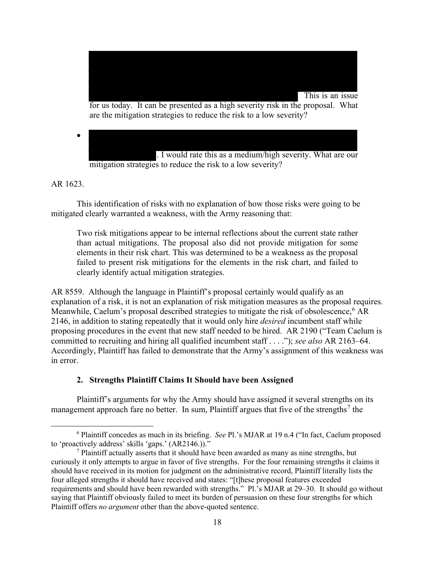

. I would rate this as a medium/high severity. What are our mitigation strategies to reduce the risk to a low severity?

## AR 1623.

This identification of risks with no explanation of how those risks were going to be mitigated clearly warranted a weakness, with the Army reasoning that:

Two risk mitigations appear to be internal reflections about the current state rather than actual mitigations. The proposal also did not provide mitigation for some elements in their risk chart. This was determined to be a weakness as the proposal failed to present risk mitigations for the elements in the risk chart, and failed to clearly identify actual mitigation strategies.

AR 8559. Although the language in Plaintiff's proposal certainly would qualify as an explanation of a risk, it is not an explanation of risk mitigation measures as the proposal requires. Meanwhile, Caelum's proposal described strategies to mitigate the risk of obsolescence,  $6$  AR 2146, in addition to stating repeatedly that it would only hire *desired* incumbent staff while proposing procedures in the event that new staff needed to be hired. AR 2190 ("Team Caelum is committed to recruiting and hiring all qualified incumbent staff . . . ."); *see also* AR 2163–64. Accordingly, Plaintiff has failed to demonstrate that the Army's assignment of this weakness was in error.

## **2. Strengths Plaintiff Claims It Should have been Assigned**

Plaintiff's arguments for why the Army should have assigned it several strengths on its management approach fare no better. In sum, Plaintiff argues that five of the strengths<sup>[7](#page-17-1)</sup> the

<span id="page-17-0"></span><sup>6</sup> Plaintiff concedes as much in its briefing. *See* Pl.'s MJAR at 19 n.4 ("In fact, Caelum proposed to 'proactively address' skills 'gaps.' (AR2146.))."

<span id="page-17-1"></span> $<sup>7</sup>$  Plaintiff actually asserts that it should have been awarded as many as nine strengths, but</sup> curiously it only attempts to argue in favor of five strengths. For the four remaining strengths it claims it should have received in its motion for judgment on the administrative record, Plaintiff literally lists the four alleged strengths it should have received and states: "[t]hese proposal features exceeded requirements and should have been rewarded with strengths." Pl.'s MJAR at 29–30. It should go without saying that Plaintiff obviously failed to meet its burden of persuasion on these four strengths for which Plaintiff offers *no argument* other than the above-quoted sentence.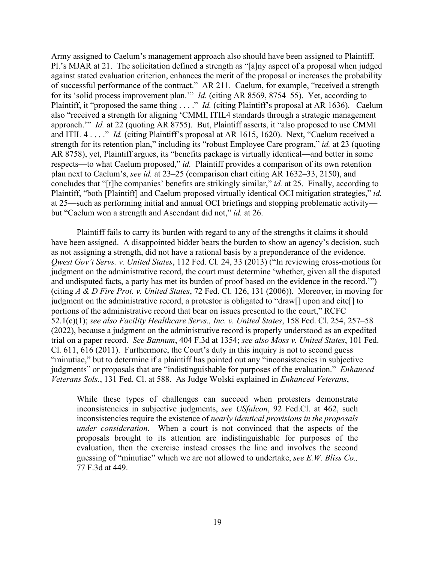Army assigned to Caelum's management approach also should have been assigned to Plaintiff. Pl.'s MJAR at 21. The solicitation defined a strength as "[a]ny aspect of a proposal when judged against stated evaluation criterion, enhances the merit of the proposal or increases the probability of successful performance of the contract." AR 211. Caelum, for example, "received a strength for its 'solid process improvement plan.'" *Id.* (citing AR 8569, 8754–55). Yet, according to Plaintiff, it "proposed the same thing . . . ." *Id.* (citing Plaintiff's proposal at AR 1636). Caelum also "received a strength for aligning 'CMMI, ITIL4 standards through a strategic management approach.'" *Id.* at 22 (quoting AR 8755). But, Plaintiff asserts, it "also proposed to use CMMI and ITIL 4 . . . ." *Id.* (citing Plaintiff's proposal at AR 1615, 1620). Next, "Caelum received a strength for its retention plan," including its "robust Employee Care program," *id.* at 23 (quoting AR 8758), yet, Plaintiff argues, its "benefits package is virtually identical—and better in some respects—to what Caelum proposed," *id.* Plaintiff provides a comparison of its own retention plan next to Caelum's, *see id.* at 23–25 (comparison chart citing AR 1632–33, 2150), and concludes that "[t]he companies' benefits are strikingly similar," *id.* at 25. Finally, according to Plaintiff, "both [Plaintiff] and Caelum proposed virtually identical OCI mitigation strategies," *id.* at 25—such as performing initial and annual OCI briefings and stopping problematic activity but "Caelum won a strength and Ascendant did not," *id.* at 26.

Plaintiff fails to carry its burden with regard to any of the strengths it claims it should have been assigned. A disappointed bidder bears the burden to show an agency's decision, such as not assigning a strength, did not have a rational basis by a preponderance of the evidence. *Qwest Gov't Servs. v. United States*, 112 Fed. Cl. 24, 33 (2013) ("In reviewing cross-motions for judgment on the administrative record, the court must determine 'whether, given all the disputed and undisputed facts, a party has met its burden of proof based on the evidence in the record.'") (citing *A & D Fire Prot. v. United States*, 72 Fed. Cl. 126, 131 (2006)). Moreover, in moving for judgment on the administrative record, a protestor is obligated to "draw[] upon and cite[] to portions of the administrative record that bear on issues presented to the court," RCFC 52.1(c)(1); *see also Facility Healthcare Servs., Inc. v. United States*, 158 Fed. Cl. 254, 257–58 (2022), because a judgment on the administrative record is properly understood as an expedited trial on a paper record. *See Bannum*, 404 F.3d at 1354; *see also Moss v. United States*, 101 Fed. Cl. 611, 616 (2011). Furthermore, the Court's duty in this inquiry is not to second guess "minutiae," but to determine if a plaintiff has pointed out any "inconsistencies in subjective judgments" or proposals that are "indistinguishable for purposes of the evaluation." *Enhanced Veterans Sols.*, 131 Fed. Cl. at 588. As Judge Wolski explained in *Enhanced Veterans*,

While these types of challenges can succeed when protesters demonstrate inconsistencies in subjective judgments, *see USfalcon*, 92 Fed.Cl. at 462, such inconsistencies require the existence of *nearly identical provisions in the proposals under consideration*. When a court is not convinced that the aspects of the proposals brought to its attention are indistinguishable for purposes of the evaluation, then the exercise instead crosses the line and involves the second guessing of "minutiae" which we are not allowed to undertake, *see E.W. Bliss Co.,* 77 F.3d at 449.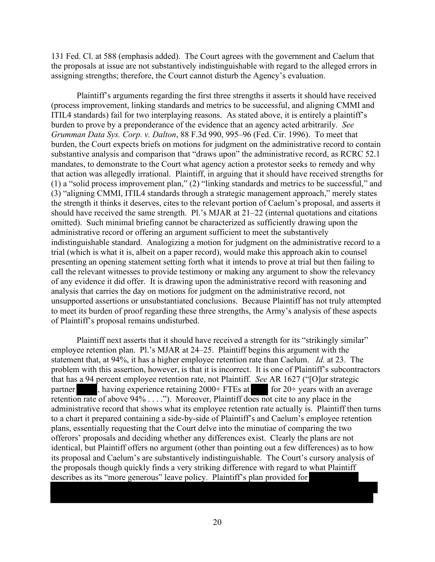131 Fed. Cl. at 588 (emphasis added). The Court agrees with the government and Caelum that the proposals at issue are not substantively indistinguishable with regard to the alleged errors in assigning strengths; therefore, the Court cannot disturb the Agency's evaluation.

Plaintiff's arguments regarding the first three strengths it asserts it should have received (process improvement, linking standards and metrics to be successful, and aligning CMMI and ITIL4 standards) fail for two interplaying reasons. As stated above, it is entirely a plaintiff's burden to prove by a preponderance of the evidence that an agency acted arbitrarily. *See Grumman Data Sys. Corp. v. Dalton*, 88 F.3d 990, 995–96 (Fed. Cir. 1996). To meet that burden, the Court expects briefs on motions for judgment on the administrative record to contain substantive analysis and comparison that "draws upon" the administrative record, as RCRC 52.1 mandates, to demonstrate to the Court what agency action a protestor seeks to remedy and why that action was allegedly irrational. Plaintiff, in arguing that it should have received strengths for (1) a "solid process improvement plan," (2) "linking standards and metrics to be successful," and (3) "aligning CMMI, ITIL4 standards through a strategic management approach," merely states the strength it thinks it deserves, cites to the relevant portion of Caelum's proposal, and asserts it should have received the same strength. Pl.'s MJAR at 21–22 (internal quotations and citations omitted).Such minimal briefing cannot be characterized as sufficiently drawing upon the administrative record or offering an argument sufficient to meet the substantively indistinguishable standard. Analogizing a motion for judgment on the administrative record to a trial (which is what it is, albeit on a paper record), would make this approach akin to counsel presenting an opening statement setting forth what it intends to prove at trial but then failing to call the relevant witnesses to provide testimony or making any argument to show the relevancy of any evidence it did offer. It is drawing upon the administrative record with reasoning and analysis that carries the day on motions for judgment on the administrative record, not unsupported assertions or unsubstantiated conclusions. Because Plaintiff has not truly attempted to meet its burden of proof regarding these three strengths, the Army's analysis of these aspects of Plaintiff's proposal remains undisturbed.

Plaintiff next asserts that it should have received a strength for its "strikingly similar" employee retention plan. Pl.'s MJAR at 24–25. Plaintiff begins this argument with the statement that, at 94%, it has a higher employee retention rate than Caelum. *Id.* at 23. The problem with this assertion, however, is that it is incorrect. It is one of Plaintiff's subcontractors that has a 94 percent employee retention rate, not Plaintiff. *See* AR 1627 ("[O]ur strategic partner **at a strategic strategies**, having experience retaining 2000+ FTEs at **f** for 20+ years with an aver , having experience retaining  $2000+$  FTEs at for 20+ years with an average retention rate of above 94% . . . ."). Moreover, Plaintiff does not cite to any place in the administrative record that shows what its employee retention rate actually is. Plaintiff then turns to a chart it prepared containing a side-by-side of Plaintiff's and Caelum's employee retention plans, essentially requesting that the Court delve into the minutiae of comparing the two offerors' proposals and deciding whether any differences exist. Clearly the plans are not identical, but Plaintiff offers no argument (other than pointing out a few differences) as to how its proposal and Caelum's are substantively indistinguishable. The Court's cursory analysis of the proposals though quickly finds a very striking difference with regard to what Plaintiff describes as its "more generous" leave policy. Plaintiff's plan provided for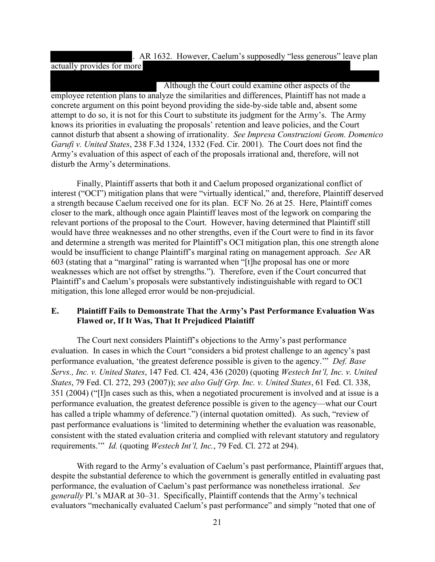#### . AR 1632. However, Caelum's supposedly "less generous" leave plan

#### actually provides for more

 Although the Court could examine other aspects of the employee retention plans to analyze the similarities and differences, Plaintiff has not made a concrete argument on this point beyond providing the side-by-side table and, absent some attempt to do so, it is not for this Court to substitute its judgment for the Army's. The Army knows its priorities in evaluating the proposals' retention and leave policies, and the Court cannot disturb that absent a showing of irrationality. *See Impresa Construzioni Geom. Domenico Garufi v. United States*, 238 F.3d 1324, 1332 (Fed. Cir. 2001). The Court does not find the Army's evaluation of this aspect of each of the proposals irrational and, therefore, will not disturb the Army's determinations.

Finally, Plaintiff asserts that both it and Caelum proposed organizational conflict of interest ("OCI") mitigation plans that were "virtually identical," and, therefore, Plaintiff deserved a strength because Caelum received one for its plan. ECF No. 26 at 25. Here, Plaintiff comes closer to the mark, although once again Plaintiff leaves most of the legwork on comparing the relevant portions of the proposal to the Court. However, having determined that Plaintiff still would have three weaknesses and no other strengths, even if the Court were to find in its favor and determine a strength was merited for Plaintiff's OCI mitigation plan, this one strength alone would be insufficient to change Plaintiff's marginal rating on management approach. *See* AR 603 (stating that a "marginal" rating is warranted when "[t]he proposal has one or more weaknesses which are not offset by strengths."). Therefore, even if the Court concurred that Plaintiff's and Caelum's proposals were substantively indistinguishable with regard to OCI mitigation, this lone alleged error would be non-prejudicial.

## **E. Plaintiff Fails to Demonstrate That the Army's Past Performance Evaluation Was Flawed or, If It Was, That It Prejudiced Plaintiff**

The Court next considers Plaintiff's objections to the Army's past performance evaluation. In cases in which the Court "considers a bid protest challenge to an agency's past performance evaluation, 'the greatest deference possible is given to the agency.'" *Def. Base Servs., Inc. v. United States*, 147 Fed. Cl. 424, 436 (2020) (quoting *Westech Int'l, Inc. v. United States*, 79 Fed. Cl. 272, 293 (2007)); *see also Gulf Grp. Inc. v. United States*, 61 Fed. Cl. 338, 351 (2004) ("[I]n cases such as this, when a negotiated procurement is involved and at issue is a performance evaluation, the greatest deference possible is given to the agency—what our Court has called a triple whammy of deference.") (internal quotation omitted). As such, "review of past performance evaluations is 'limited to determining whether the evaluation was reasonable, consistent with the stated evaluation criteria and complied with relevant statutory and regulatory requirements.'" *Id.* (quoting *Westech Int'l, Inc.*, 79 Fed. Cl. 272 at 294).

With regard to the Army's evaluation of Caelum's past performance, Plaintiff argues that, despite the substantial deference to which the government is generally entitled in evaluating past performance, the evaluation of Caelum's past performance was nonetheless irrational. *See generally* Pl.'s MJAR at 30–31. Specifically, Plaintiff contends that the Army's technical evaluators "mechanically evaluated Caelum's past performance" and simply "noted that one of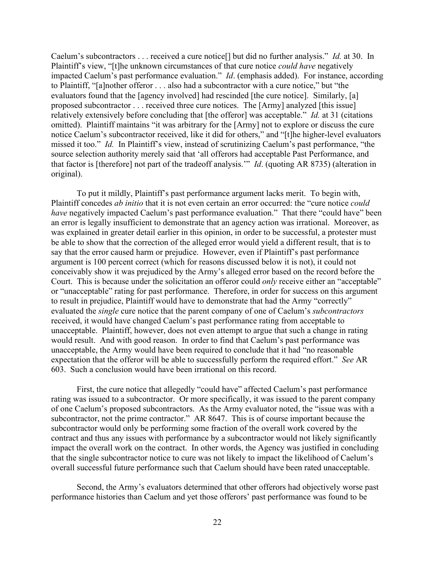Caelum's subcontractors . . . received a cure notice[] but did no further analysis." *Id.* at 30. In Plaintiff's view, "[t]he unknown circumstances of that cure notice *could have* negatively impacted Caelum's past performance evaluation." *Id*. (emphasis added). For instance, according to Plaintiff, "[a]nother offeror . . . also had a subcontractor with a cure notice," but "the evaluators found that the [agency involved] had rescinded [the cure notice]. Similarly, [a] proposed subcontractor . . . received three cure notices. The [Army] analyzed [this issue] relatively extensively before concluding that [the offeror] was acceptable." *Id.* at 31 (citations omitted). Plaintiff maintains "it was arbitrary for the [Army] not to explore or discuss the cure notice Caelum's subcontractor received, like it did for others," and "[t]he higher-level evaluators missed it too." *Id.* In Plaintiff's view, instead of scrutinizing Caelum's past performance, "the source selection authority merely said that 'all offerors had acceptable Past Performance, and that factor is [therefore] not part of the tradeoff analysis.'" *Id*. (quoting AR 8735) (alteration in original).

To put it mildly, Plaintiff's past performance argument lacks merit. To begin with, Plaintiff concedes *ab initio* that it is not even certain an error occurred: the "cure notice *could have* negatively impacted Caelum's past performance evaluation." That there "could have" been an error is legally insufficient to demonstrate that an agency action was irrational. Moreover, as was explained in greater detail earlier in this opinion, in order to be successful, a protester must be able to show that the correction of the alleged error would yield a different result, that is to say that the error caused harm or prejudice. However, even if Plaintiff's past performance argument is 100 percent correct (which for reasons discussed below it is not), it could not conceivably show it was prejudiced by the Army's alleged error based on the record before the Court. This is because under the solicitation an offeror could *only* receive either an "acceptable" or "unacceptable" rating for past performance. Therefore, in order for success on this argument to result in prejudice, Plaintiff would have to demonstrate that had the Army "correctly" evaluated the *single* cure notice that the parent company of one of Caelum's *subcontractors* received, it would have changed Caelum's past performance rating from acceptable to unacceptable. Plaintiff, however, does not even attempt to argue that such a change in rating would result. And with good reason. In order to find that Caelum's past performance was unacceptable, the Army would have been required to conclude that it had "no reasonable expectation that the offeror will be able to successfully perform the required effort." *See* AR 603. Such a conclusion would have been irrational on this record.

First, the cure notice that allegedly "could have" affected Caelum's past performance rating was issued to a subcontractor. Or more specifically, it was issued to the parent company of one Caelum's proposed subcontractors. As the Army evaluator noted, the "issue was with a subcontractor, not the prime contractor." AR 8647. This is of course important because the subcontractor would only be performing some fraction of the overall work covered by the contract and thus any issues with performance by a subcontractor would not likely significantly impact the overall work on the contract. In other words, the Agency was justified in concluding that the single subcontractor notice to cure was not likely to impact the likelihood of Caelum's overall successful future performance such that Caelum should have been rated unacceptable.

Second, the Army's evaluators determined that other offerors had objectively worse past performance histories than Caelum and yet those offerors' past performance was found to be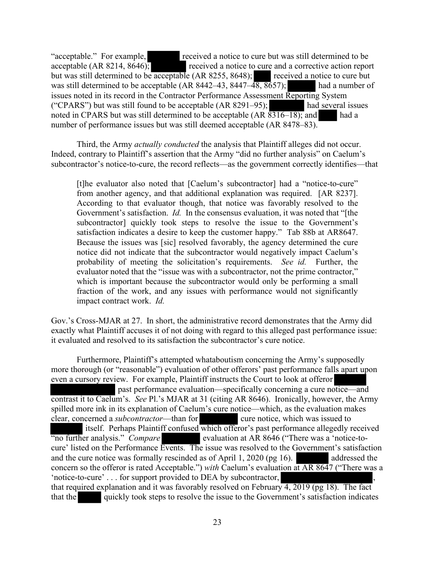"acceptable." For example, received a notice to cure but was still determined to be acceptable  $(AR 8214, 8646)$ ; received a notice to cure and a corrective action report but was still determined to be acceptable (AR 8255, 8648); received a notice to cure but was still determined to be acceptable  $(AR 8442-43, 8447-48, 8657)$ ; had a number of issues noted in its record in the Contractor Performance Assessment Reporting System ("CPARS") but was still found to be acceptable  $(AR 8291-95)$ ; had several issues noted in CPARS but was still determined to be acceptable  $(AR \overline{8316-18})$ ; and had a number of performance issues but was still deemed acceptable (AR 8478–83).

Third, the Army *actually conducted* the analysis that Plaintiff alleges did not occur. Indeed, contrary to Plaintiff's assertion that the Army "did no further analysis" on Caelum's subcontractor's notice-to-cure, the record reflects—as the government correctly identifies—that

[t]he evaluator also noted that [Caelum's subcontractor] had a "notice-to-cure" from another agency, and that additional explanation was required. [AR 8237]. According to that evaluator though, that notice was favorably resolved to the Government's satisfaction. *Id.* In the consensus evaluation, it was noted that "[the subcontractor] quickly took steps to resolve the issue to the Government's satisfaction indicates a desire to keep the customer happy." Tab 88b at AR8647. Because the issues was [sic] resolved favorably, the agency determined the cure notice did not indicate that the subcontractor would negatively impact Caelum's probability of meeting the solicitation's requirements. *See id.* Further, the evaluator noted that the "issue was with a subcontractor, not the prime contractor," which is important because the subcontractor would only be performing a small fraction of the work, and any issues with performance would not significantly impact contract work. *Id.*

Gov.'s Cross-MJAR at 27. In short, the administrative record demonstrates that the Army did exactly what Plaintiff accuses it of not doing with regard to this alleged past performance issue: it evaluated and resolved to its satisfaction the subcontractor's cure notice.

Furthermore, Plaintiff's attempted whataboutism concerning the Army's supposedly more thorough (or "reasonable") evaluation of other offerors' past performance falls apart upon even a cursory review. For example, Plaintiff instructs the Court to look at offeror past performance evaluation—specifically concerning a cure notice—and contrast it to Caelum's. *See* Pl.'s MJAR at 31 (citing AR 8646). Ironically, however, the Army spilled more ink in its explanation of Caelum's cure notice—which, as the evaluation makes clear, concerned a *subcontractor*—than for cure notice, which was issued to itself. Perhaps Plaintiff confused which offeror's past performance allegedly received<br>"no further analysis." Compare<br>"evaluation at AR 8646 ("There was a 'notice-toevaluation at AR 8646 ("There was a 'notice-tocure' listed on the Performance Events. The issue was resolved to the Government's satisfaction and the cure notice was formally rescinded as of April 1, 2020 (pg  $16$ ). addressed the concern so the offeror is rated Acceptable.") *with* Caelum's evaluation at AR 8647 ("There was a 'notice-to-cure' . . . for support provided to DEA by subcontractor, that required explanation and it was favorably resolved on February  $\frac{4}{3}$ , 2019 (pg 18). The fact that the quickly took steps to resolve the issue to the Government's satisfaction indicates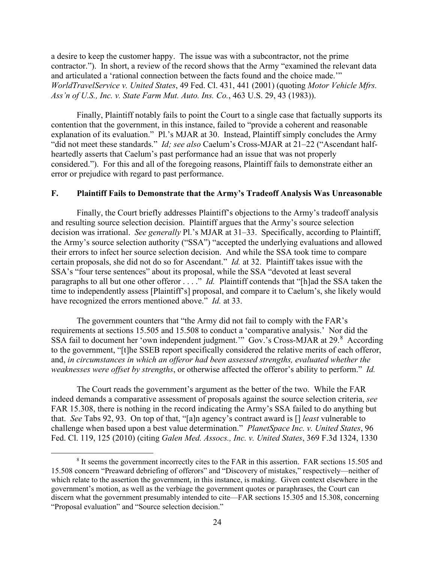a desire to keep the customer happy. The issue was with a subcontractor, not the prime contractor."). In short, a review of the record shows that the Army "examined the relevant data and articulated a 'rational connection between the facts found and the choice made.'" *WorldTravelService v. United States*, 49 Fed. Cl. 431, 441 (2001) (quoting *Motor Vehicle Mfrs. Ass'n of U.S., Inc. v. State Farm Mut. Auto. Ins. Co.*, 463 U.S. 29, 43 (1983)).

Finally, Plaintiff notably fails to point the Court to a single case that factually supports its contention that the government, in this instance, failed to "provide a coherent and reasonable explanation of its evaluation." Pl.'s MJAR at 30. Instead, Plaintiff simply concludes the Army "did not meet these standards." *Id; see also* Caelum's Cross-MJAR at 21–22 ("Ascendant halfheartedly asserts that Caelum's past performance had an issue that was not properly considered."). For this and all of the foregoing reasons, Plaintiff fails to demonstrate either an error or prejudice with regard to past performance.

#### **F. Plaintiff Fails to Demonstrate that the Army's Tradeoff Analysis Was Unreasonable**

Finally, the Court briefly addresses Plaintiff's objections to the Army's tradeoff analysis and resulting source selection decision. Plaintiff argues that the Army's source selection decision was irrational. *See generally* Pl.'s MJAR at 31–33. Specifically, according to Plaintiff, the Army's source selection authority ("SSA") "accepted the underlying evaluations and allowed their errors to infect her source selection decision. And while the SSA took time to compare certain proposals, she did not do so for Ascendant." *Id.* at 32. Plaintiff takes issue with the SSA's "four terse sentences" about its proposal, while the SSA "devoted at least several paragraphs to all but one other offeror ...." *Id.* Plaintiff contends that "[h]ad the SSA taken the time to independently assess [Plaintiff's] proposal, and compare it to Caelum's, she likely would have recognized the errors mentioned above." *Id.* at 33.

The government counters that "the Army did not fail to comply with the FAR's requirements at sections 15.505 and 15.508 to conduct a 'comparative analysis.' Nor did the SSA fail to document her 'own independent judgment." Gov.'s Cross-MJAR at 29.[8](#page-23-0) According to the government, "[t]he SSEB report specifically considered the relative merits of each offeror, and, *in circumstances in which an offeror had been assessed strengths, evaluated whether the weaknesses were offset by strengths*, or otherwise affected the offeror's ability to perform." *Id.*

The Court reads the government's argument as the better of the two. While the FAR indeed demands a comparative assessment of proposals against the source selection criteria, *see* FAR 15.308, there is nothing in the record indicating the Army's SSA failed to do anything but that. *See* Tabs 92, 93. On top of that, "[a]n agency's contract award is [] *least* vulnerable to challenge when based upon a best value determination." *PlanetSpace Inc. v. United States*, 96 Fed. Cl. 119, 125 (2010) (citing *Galen Med. Assocs., Inc. v. United States*, 369 F.3d 1324, 1330

<span id="page-23-0"></span><sup>8</sup> It seems the government incorrectly cites to the FAR in this assertion. FAR sections 15.505 and 15.508 concern "Preaward debriefing of offerors" and "Discovery of mistakes," respectively—neither of which relate to the assertion the government, in this instance, is making. Given context elsewhere in the government's motion, as well as the verbiage the government quotes or paraphrases, the Court can discern what the government presumably intended to cite—FAR sections 15.305 and 15.308, concerning "Proposal evaluation" and "Source selection decision."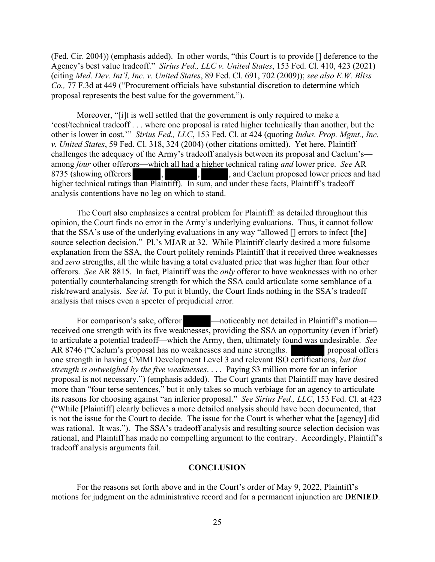(Fed. Cir. 2004)) (emphasis added). In other words, "this Court is to provide [] deference to the Agency's best value tradeoff." *Sirius Fed., LLC v. United States*, 153 Fed. Cl. 410, 423 (2021) (citing *Med. Dev. Int'l, Inc. v. United States*, 89 Fed. Cl. 691, 702 (2009)); *see also E.W. Bliss Co.,* 77 F.3d at 449 ("Procurement officials have substantial discretion to determine which proposal represents the best value for the government.").

Moreover, "[i]t is well settled that the government is only required to make a 'cost/technical tradeoff . . . where one proposal is rated higher technically than another, but the other is lower in cost.'" *Sirius Fed., LLC*, 153 Fed. Cl. at 424 (quoting *Indus. Prop. Mgmt., Inc. v. United States*, 59 Fed. Cl. 318, 324 (2004) (other citations omitted). Yet here, Plaintiff challenges the adequacy of the Army's tradeoff analysis between its proposal and Caelum's among *four* other offerors—which all had a higher technical rating *and* lower price. *See* AR 8735 (showing offerors  $\begin{array}{ccc} 1, & \cdots, & 1, \\ 1, & \cdots, & 1 \end{array}$ , and Caelum proposed lower prices and had higher technical ratings than Plaintiff). In sum, and under these facts, Plaintiff's tradeoff analysis contentions have no leg on which to stand.

The Court also emphasizes a central problem for Plaintiff: as detailed throughout this opinion, the Court finds no error in the Army's underlying evaluations. Thus, it cannot follow that the SSA's use of the underlying evaluations in any way "allowed [] errors to infect [the] source selection decision." Pl.'s MJAR at 32. While Plaintiff clearly desired a more fulsome explanation from the SSA, the Court politely reminds Plaintiff that it received three weaknesses and *zero* strengths, all the while having a total evaluated price that was higher than four other offerors. *See* AR 8815. In fact, Plaintiff was the *only* offeror to have weaknesses with no other potentially counterbalancing strength for which the SSA could articulate some semblance of a risk/reward analysis. *See id*. To put it bluntly, the Court finds nothing in the SSA's tradeoff analysis that raises even a specter of prejudicial error.

For comparison's sake, offeror — —noticeably not detailed in Plaintiff's motion received one strength with its five weaknesses, providing the SSA an opportunity (even if brief) to articulate a potential tradeoff—which the Army, then, ultimately found was undesirable. *See* AR 8746 ("Caelum's proposal has no weaknesses and nine strengths. proposal offers one strength in having CMMI Development Level 3 and relevant ISO certifications, *but that strength is outweighed by the five weaknesses*. . . . Paying \$3 million more for an inferior proposal is not necessary.") (emphasis added). The Court grants that Plaintiff may have desired more than "four terse sentences," but it only takes so much verbiage for an agency to articulate its reasons for choosing against "an inferior proposal." *See Sirius Fed., LLC*, 153 Fed. Cl. at 423 ("While [Plaintiff] clearly believes a more detailed analysis should have been documented, that is not the issue for the Court to decide. The issue for the Court is whether what the [agency] did was rational. It was."). The SSA's tradeoff analysis and resulting source selection decision was rational, and Plaintiff has made no compelling argument to the contrary. Accordingly, Plaintiff's tradeoff analysis arguments fail.

#### **CONCLUSION**

 For the reasons set forth above and in the Court's order of May 9, 2022, Plaintiff's motions for judgment on the administrative record and for a permanent injunction are **DENIED**.